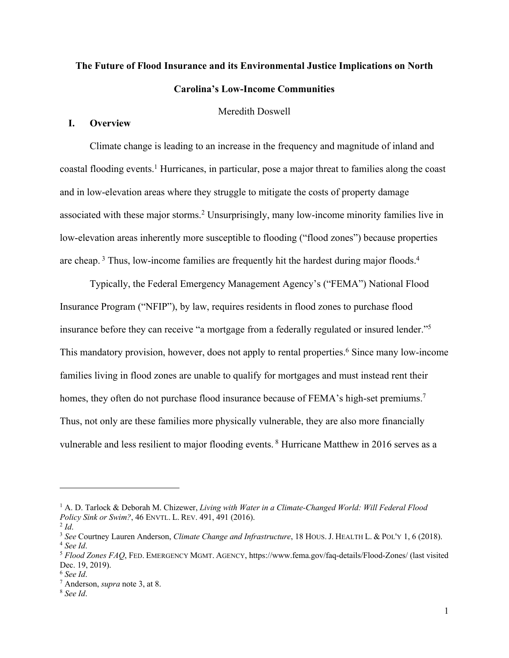# **The Future of Flood Insurance and its Environmental Justice Implications on North Carolina's Low-Income Communities**

# Meredith Doswell

## **I. Overview**

Climate change is leading to an increase in the frequency and magnitude of inland and coastal flooding events.1 Hurricanes, in particular, pose a major threat to families along the coast and in low-elevation areas where they struggle to mitigate the costs of property damage associated with these major storms. <sup>2</sup> Unsurprisingly, many low-income minority families live in low-elevation areas inherently more susceptible to flooding ("flood zones") because properties are cheap.<sup>3</sup> Thus, low-income families are frequently hit the hardest during major floods.<sup>4</sup>

Typically, the Federal Emergency Management Agency's ("FEMA") National Flood Insurance Program ("NFIP"), by law, requires residents in flood zones to purchase flood insurance before they can receive "a mortgage from a federally regulated or insured lender."5 This mandatory provision, however, does not apply to rental properties. <sup>6</sup> Since many low-income families living in flood zones are unable to qualify for mortgages and must instead rent their homes, they often do not purchase flood insurance because of FEMA's high-set premiums.<sup>7</sup> Thus, not only are these families more physically vulnerable, they are also more financially vulnerable and less resilient to major flooding events. <sup>8</sup> Hurricane Matthew in 2016 serves as a

<sup>&</sup>lt;sup>1</sup> A. D. Tarlock & Deborah M. Chizewer, *Living with Water in a Climate-Changed World: Will Federal Flood Policy Sink or Swim?*, 46 ENVTL. L. REV. 491, 491 (2016).

 $^{2}$ *Id*.

<sup>3</sup> *See* Courtney Lauren Anderson, *Climate Change and Infrastructure*, 18 HOUS. J. HEALTH L. & POL'Y 1, 6 (2018). <sup>4</sup> *See Id*.

<sup>5</sup> *Flood Zones FAQ*, FED. EMERGENCY MGMT. AGENCY, https://www.fema.gov/faq-details/Flood-Zones/ (last visited Dec. 19, 2019).

<sup>6</sup> *See Id*.

<sup>7</sup> Anderson, *supra* note 3, at 8. 8 *See Id*.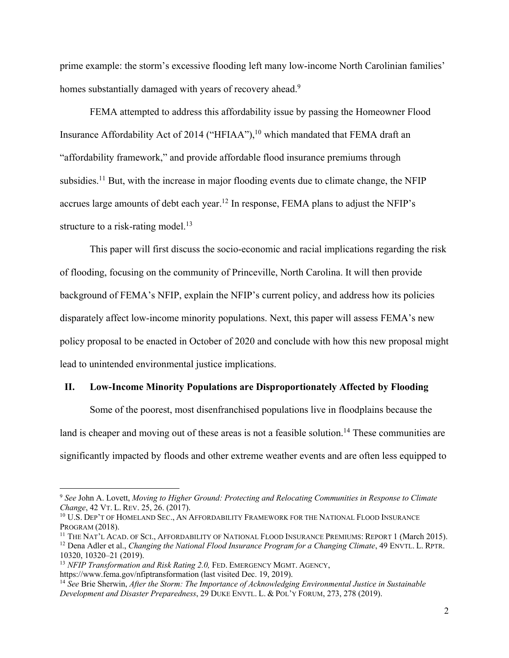prime example: the storm's excessive flooding left many low-income North Carolinian families' homes substantially damaged with years of recovery ahead.<sup>9</sup>

FEMA attempted to address this affordability issue by passing the Homeowner Flood Insurance Affordability Act of 2014 ("HFIAA"),<sup>10</sup> which mandated that FEMA draft an "affordability framework," and provide affordable flood insurance premiums through subsidies.<sup>11</sup> But, with the increase in major flooding events due to climate change, the NFIP accrues large amounts of debt each year.<sup>12</sup> In response, FEMA plans to adjust the NFIP's structure to a risk-rating model.<sup>13</sup>

This paper will first discuss the socio-economic and racial implications regarding the risk of flooding, focusing on the community of Princeville, North Carolina. It will then provide background of FEMA's NFIP, explain the NFIP's current policy, and address how its policies disparately affect low-income minority populations. Next, this paper will assess FEMA's new policy proposal to be enacted in October of 2020 and conclude with how this new proposal might lead to unintended environmental justice implications.

#### **II. Low-Income Minority Populations are Disproportionately Affected by Flooding**

Some of the poorest, most disenfranchised populations live in floodplains because the land is cheaper and moving out of these areas is not a feasible solution.<sup>14</sup> These communities are significantly impacted by floods and other extreme weather events and are often less equipped to

<sup>9</sup> *See* John A. Lovett, *Moving to Higher Ground: Protecting and Relocating Communities in Response to Climate Change*, 42 VT. L. REV. 25, 26. (2017).

<sup>&</sup>lt;sup>10</sup> U.S. DEP'T OF HOMELAND SEC., AN AFFORDABILITY FRAMEWORK FOR THE NATIONAL FLOOD INSURANCE PROGRAM (2018).

<sup>&</sup>lt;sup>11</sup> THE NAT'L ACAD. OF SCI., AFFORDABILITY OF NATIONAL FLOOD INSURANCE PREMIUMS: REPORT 1 (March 2015). <sup>12</sup> Dena Adler et al., *Changing the National Flood Insurance Program for a Changing Climate*, 49 ENVTL. L. RPTR. 10320, 10320–21 (2019).

<sup>&</sup>lt;sup>13</sup> *NFIP Transformation and Risk Rating 2.0, FED. EMERGENCY MGMT. AGENCY,* https://www.fema.gov/nfiptransformation (last visited Dec. 19, 2019).

<sup>&</sup>lt;sup>14</sup> See Brie Sherwin, *After the Storm: The Importance of Acknowledging Environmental Justice in Sustainable Development and Disaster Preparedness*, 29 DUKE ENVTL. L. & POL'Y FORUM, 273, 278 (2019).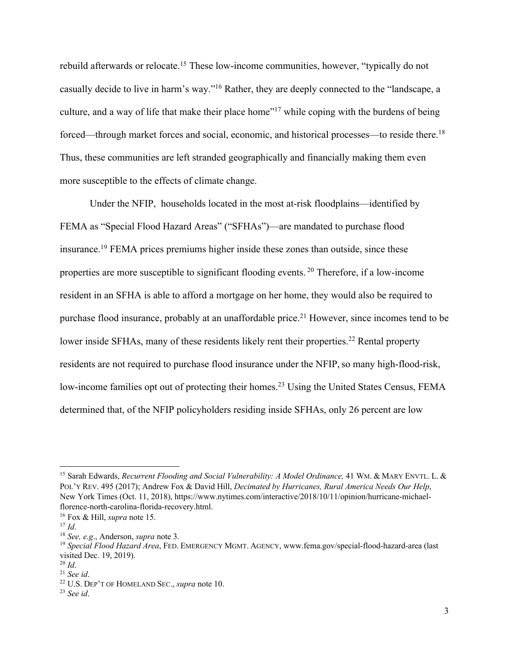rebuild afterwards or relocate.<sup>15</sup> These low-income communities, however, "typically do not casually decide to live in harm's way."16 Rather, they are deeply connected to the "landscape, a culture, and a way of life that make their place home"<sup>17</sup> while coping with the burdens of being forced—through market forces and social, economic, and historical processes—to reside there.<sup>18</sup> Thus, these communities are left stranded geographically and financially making them even more susceptible to the effects of climate change.

Under the NFIP, households located in the most at-risk floodplains—identified by FEMA as "Special Flood Hazard Areas" ("SFHAs")—are mandated to purchase flood insurance. <sup>19</sup> FEMA prices premiums higher inside these zones than outside, since these properties are more susceptible to significant flooding events. <sup>20</sup> Therefore, if a low-income resident in an SFHA is able to afford a mortgage on her home, they would also be required to purchase flood insurance, probably at an unaffordable price.<sup>21</sup> However, since incomes tend to be lower inside SFHAs, many of these residents likely rent their properties.<sup>22</sup> Rental property residents are not required to purchase flood insurance under the NFIP, so many high-flood-risk, low-income families opt out of protecting their homes.<sup>23</sup> Using the United States Census, FEMA determined that, of the NFIP policyholders residing inside SFHAs, only 26 percent are low

<sup>15</sup> Sarah Edwards, *Recurrent Flooding and Social Vulnerability: A Model Ordinance,* 41 WM. & MARY ENVTL. L. & POL'Y REV. 495 (2017); Andrew Fox & David Hill, *Decimated by Hurricanes, Rural America Needs Our Help*, New York Times (Oct. 11, 2018), https://www.nytimes.com/interactive/2018/10/11/opinion/hurricane-michaelflorence-north-carolina-florida-recovery.html.

<sup>16</sup> Fox & Hill, *supra* note 15.

 $17$  *Id.* 

<sup>18</sup> *See, e.g*., Anderson, *supra* note 3.

<sup>19</sup> *Special Flood Hazard Area*, FED. EMERGENCY MGMT. AGENCY, www.fema.gov/special-flood-hazard-area (last visited Dec. 19, 2019).

<sup>20</sup> *Id*.

<sup>21</sup> *See id*.

<sup>22</sup> U.S. DEP'T OF HOMELAND SEC., *supra* note 10.

<sup>23</sup> *See id*.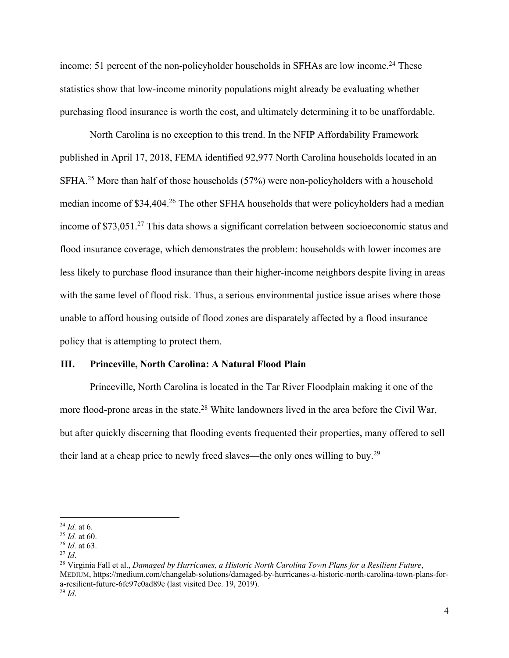income; 51 percent of the non-policyholder households in SFHAs are low income.<sup>24</sup> These statistics show that low-income minority populations might already be evaluating whether purchasing flood insurance is worth the cost, and ultimately determining it to be unaffordable.

North Carolina is no exception to this trend. In the NFIP Affordability Framework published in April 17, 2018, FEMA identified 92,977 North Carolina households located in an SFHA.<sup>25</sup> More than half of those households (57%) were non-policyholders with a household median income of \$34,404. <sup>26</sup> The other SFHA households that were policyholders had a median income of \$73,051.<sup>27</sup> This data shows a significant correlation between socioeconomic status and flood insurance coverage, which demonstrates the problem: households with lower incomes are less likely to purchase flood insurance than their higher-income neighbors despite living in areas with the same level of flood risk. Thus, a serious environmental justice issue arises where those unable to afford housing outside of flood zones are disparately affected by a flood insurance policy that is attempting to protect them.

#### **III. Princeville, North Carolina: A Natural Flood Plain**

Princeville, North Carolina is located in the Tar River Floodplain making it one of the more flood-prone areas in the state.<sup>28</sup> White landowners lived in the area before the Civil War, but after quickly discerning that flooding events frequented their properties, many offered to sell their land at a cheap price to newly freed slaves—the only ones willing to buy.<sup>29</sup>

<sup>24</sup> *Id.* at 6. 25 *Id.* at 60.

<sup>26</sup> *Id.* at 63.

<sup>27</sup> *Id*. 28 Virginia Fall et al., *Damaged by Hurricanes, a Historic North Carolina Town Plans for a Resilient Future*, MEDIUM, https://medium.com/changelab-solutions/damaged-by-hurricanes-a-historic-north-carolina-town-plans-fora-resilient-future-6fc97c0ad89e (last visited Dec. 19, 2019). <sup>29</sup> *Id*.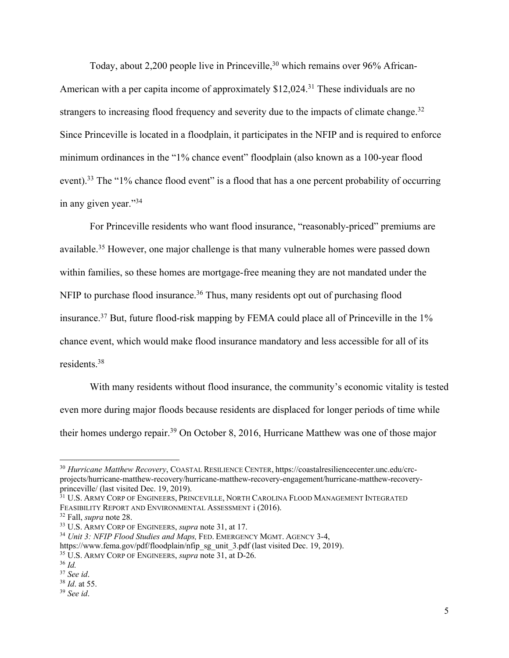Today, about 2,200 people live in Princeville,  $30$  which remains over 96% African-American with a per capita income of approximately \$12,024.<sup>31</sup> These individuals are no strangers to increasing flood frequency and severity due to the impacts of climate change.<sup>32</sup> Since Princeville is located in a floodplain, it participates in the NFIP and is required to enforce minimum ordinances in the "1% chance event" floodplain (also known as a 100-year flood event).<sup>33</sup> The "1% chance flood event" is a flood that has a one percent probability of occurring in any given year."34

For Princeville residents who want flood insurance, "reasonably-priced" premiums are available.<sup>35</sup> However, one major challenge is that many vulnerable homes were passed down within families, so these homes are mortgage-free meaning they are not mandated under the NFIP to purchase flood insurance.<sup>36</sup> Thus, many residents opt out of purchasing flood insurance.37 But, future flood-risk mapping by FEMA could place all of Princeville in the 1% chance event, which would make flood insurance mandatory and less accessible for all of its residents. 38

With many residents without flood insurance, the community's economic vitality is tested even more during major floods because residents are displaced for longer periods of time while their homes undergo repair.39 On October 8, 2016, Hurricane Matthew was one of those major

<sup>30</sup> *Hurricane Matthew Recovery*, COASTAL RESILIENCE CENTER, https://coastalresiliencecenter.unc.edu/crcprojects/hurricane-matthew-recovery/hurricane-matthew-recovery-engagement/hurricane-matthew-recoveryprinceville/ (last visited Dec. 19, 2019).

 $31$  U.S. Army Corp of Engineers, Princeville, North Carolina Flood Management Integrated FEASIBILITY REPORT AND ENVIRONMENTAL ASSESSMENT  $i$  (2016).

<sup>32</sup> Fall, *supra* note 28.

<sup>33</sup> U.S. ARMY CORP OF ENGINEERS, *supra* note 31, at 17.

<sup>34</sup> *Unit 3: NFIP Flood Studies and Maps,* FED. EMERGENCY MGMT. AGENCY 3-4,

https://www.fema.gov/pdf/floodplain/nfip\_sg\_unit\_3.pdf (last visited Dec. 19, 2019). 35 U.S. ARMY CORP OF ENGINEERS, *supra* note 31, at D-26.

<sup>36</sup> *Id.*

<sup>37</sup> *See id*.

<sup>38</sup> *Id*. at 55.

<sup>39</sup> *See id*.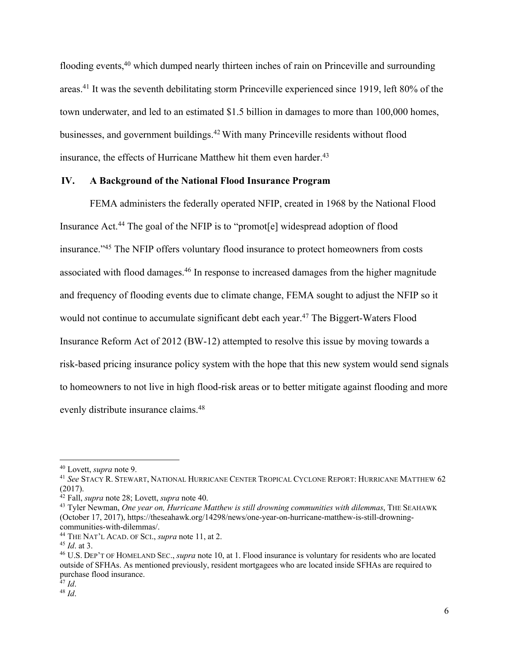flooding events,<sup>40</sup> which dumped nearly thirteen inches of rain on Princeville and surrounding areas.<sup>41</sup> It was the seventh debilitating storm Princeville experienced since 1919, left 80% of the town underwater, and led to an estimated \$1.5 billion in damages to more than 100,000 homes, businesses, and government buildings. <sup>42</sup> With many Princeville residents without flood insurance, the effects of Hurricane Matthew hit them even harder. 43

## **IV. A Background of the National Flood Insurance Program**

FEMA administers the federally operated NFIP, created in 1968 by the National Flood Insurance Act.44 The goal of the NFIP is to "promot[e] widespread adoption of flood insurance."45 The NFIP offers voluntary flood insurance to protect homeowners from costs associated with flood damages.46 In response to increased damages from the higher magnitude and frequency of flooding events due to climate change, FEMA sought to adjust the NFIP so it would not continue to accumulate significant debt each year.<sup>47</sup> The Biggert-Waters Flood Insurance Reform Act of 2012 (BW-12) attempted to resolve this issue by moving towards a risk-based pricing insurance policy system with the hope that this new system would send signals to homeowners to not live in high flood-risk areas or to better mitigate against flooding and more evenly distribute insurance claims.<sup>48</sup>

<sup>40</sup> Lovett, *supra* note 9.

<sup>41</sup> *See* STACY R. STEWART, NATIONAL HURRICANE CENTER TROPICAL CYCLONE REPORT: HURRICANE MATTHEW 62 (2017).

<sup>42</sup> Fall, *supra* note 28; Lovett, *supra* note 40.

<sup>43</sup> Tyler Newman, *One year on, Hurricane Matthew is still drowning communities with dilemmas*, THE SEAHAWK (October 17, 2017), https://theseahawk.org/14298/news/one-year-on-hurricane-matthew-is-still-drowningcommunities-with-dilemmas/.

<sup>44</sup> THE NAT'L ACAD. OF SCI., *supra* note 11, at 2.

<sup>45</sup> *Id*. at 3.

<sup>46</sup> U.S. DEP'T OF HOMELAND SEC., *supra* note 10, at 1. Flood insurance is voluntary for residents who are located outside of SFHAs. As mentioned previously, resident mortgagees who are located inside SFHAs are required to purchase flood insurance.

<sup>47</sup> *Id*.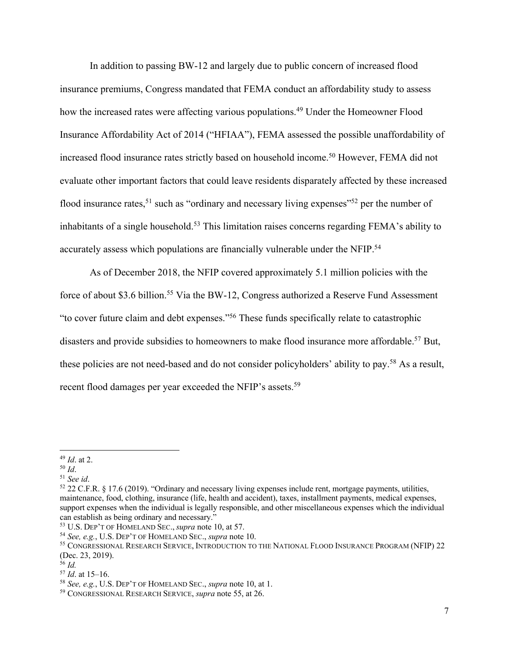In addition to passing BW-12 and largely due to public concern of increased flood insurance premiums, Congress mandated that FEMA conduct an affordability study to assess how the increased rates were affecting various populations.<sup>49</sup> Under the Homeowner Flood Insurance Affordability Act of 2014 ("HFIAA"), FEMA assessed the possible unaffordability of increased flood insurance rates strictly based on household income. <sup>50</sup> However, FEMA did not evaluate other important factors that could leave residents disparately affected by these increased flood insurance rates,<sup>51</sup> such as "ordinary and necessary living expenses"<sup>52</sup> per the number of inhabitants of a single household.<sup>53</sup> This limitation raises concerns regarding FEMA's ability to accurately assess which populations are financially vulnerable under the NFIP.54

As of December 2018, the NFIP covered approximately 5.1 million policies with the force of about \$3.6 billion.<sup>55</sup> Via the BW-12, Congress authorized a Reserve Fund Assessment "to cover future claim and debt expenses."56 These funds specifically relate to catastrophic disasters and provide subsidies to homeowners to make flood insurance more affordable.<sup>57</sup> But, these policies are not need-based and do not consider policyholders' ability to pay.<sup>58</sup> As a result, recent flood damages per year exceeded the NFIP's assets.<sup>59</sup>

<sup>50</sup> *Id*.

<sup>52</sup> 22 C.F.R. § 17.6 (2019). "Ordinary and necessary living expenses include rent, mortgage payments, utilities, maintenance, food, clothing, insurance (life, health and accident), taxes, installment payments, medical expenses, support expenses when the individual is legally responsible, and other miscellaneous expenses which the individual can establish as being ordinary and necessary."

<sup>49</sup> *Id*. at 2.

<sup>53</sup> U.S. DEP'T OF HOMELAND SEC., *supra* note 10, at 57.

<sup>54</sup> *See, e.g.*, U.S. DEP'T OF HOMELAND SEC., *supra* note 10.

<sup>55</sup> CONGRESSIONAL RESEARCH SERVICE, INTRODUCTION TO THE NATIONAL FLOOD INSURANCE PROGRAM (NFIP) 22 (Dec. 23, 2019). 56 *Id.*

<sup>57</sup> *Id*. at 15–16.

<sup>58</sup> *See, e.g.*, U.S. DEP'T OF HOMELAND SEC., *supra* note 10, at 1.

<sup>59</sup> CONGRESSIONAL RESEARCH SERVICE, *supra* note 55, at 26.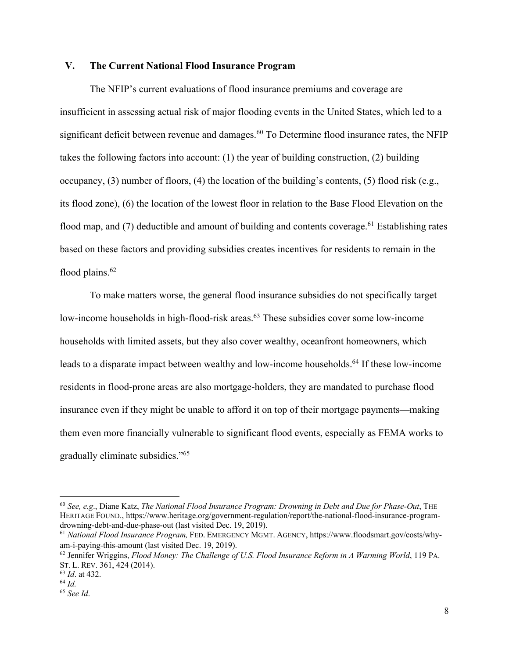## **V. The Current National Flood Insurance Program**

The NFIP's current evaluations of flood insurance premiums and coverage are insufficient in assessing actual risk of major flooding events in the United States, which led to a significant deficit between revenue and damages.<sup>60</sup> To Determine flood insurance rates, the NFIP takes the following factors into account: (1) the year of building construction, (2) building occupancy, (3) number of floors, (4) the location of the building's contents, (5) flood risk (e.g., its flood zone), (6) the location of the lowest floor in relation to the Base Flood Elevation on the flood map, and  $(7)$  deductible and amount of building and contents coverage.<sup>61</sup> Establishing rates based on these factors and providing subsidies creates incentives for residents to remain in the flood plains.<sup>62</sup>

To make matters worse, the general flood insurance subsidies do not specifically target low-income households in high-flood-risk areas.<sup>63</sup> These subsidies cover some low-income households with limited assets, but they also cover wealthy, oceanfront homeowners, which leads to a disparate impact between wealthy and low-income households. <sup>64</sup> If these low-income residents in flood-prone areas are also mortgage-holders, they are mandated to purchase flood insurance even if they might be unable to afford it on top of their mortgage payments—making them even more financially vulnerable to significant flood events, especially as FEMA works to gradually eliminate subsidies."65

<sup>60</sup> *See, e.g*., Diane Katz, *The National Flood Insurance Program: Drowning in Debt and Due for Phase-Out*, THE HERITAGE FOUND., https://www.heritage.org/government-regulation/report/the-national-flood-insurance-programdrowning-debt-and-due-phase-out (last visited Dec. 19, 2019).

<sup>61</sup> *National Flood Insurance Program,* FED. EMERGENCY MGMT. AGENCY, https://www.floodsmart.gov/costs/whyam-i-paying-this-amount (last visited Dec. 19, 2019).

<sup>62</sup> Jennifer Wriggins, *Flood Money: The Challenge of U.S. Flood Insurance Reform in A Warming World*, 119 PA. ST. L. REV. 361, 424 (2014).

<sup>63</sup> *Id*. at 432.

<sup>64</sup> *Id.*

<sup>65</sup> *See Id*.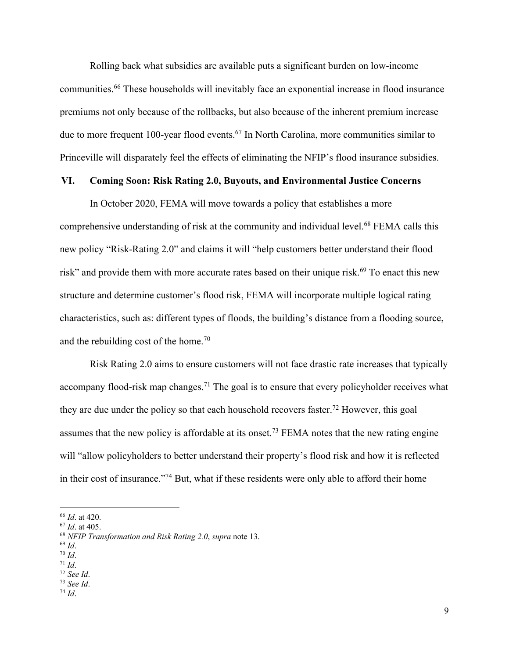Rolling back what subsidies are available puts a significant burden on low-income communities.66 These households will inevitably face an exponential increase in flood insurance premiums not only because of the rollbacks, but also because of the inherent premium increase due to more frequent 100-year flood events.<sup>67</sup> In North Carolina, more communities similar to Princeville will disparately feel the effects of eliminating the NFIP's flood insurance subsidies.

## **VI. Coming Soon: Risk Rating 2.0, Buyouts, and Environmental Justice Concerns**

In October 2020, FEMA will move towards a policy that establishes a more comprehensive understanding of risk at the community and individual level.<sup>68</sup> FEMA calls this new policy "Risk-Rating 2.0" and claims it will "help customers better understand their flood risk" and provide them with more accurate rates based on their unique risk.<sup>69</sup> To enact this new structure and determine customer's flood risk, FEMA will incorporate multiple logical rating characteristics, such as: different types of floods, the building's distance from a flooding source, and the rebuilding cost of the home.70

Risk Rating 2.0 aims to ensure customers will not face drastic rate increases that typically accompany flood-risk map changes.<sup>71</sup> The goal is to ensure that every policyholder receives what they are due under the policy so that each household recovers faster.<sup>72</sup> However, this goal assumes that the new policy is affordable at its onset.73 FEMA notes that the new rating engine will "allow policyholders to better understand their property's flood risk and how it is reflected in their cost of insurance."74 But, what if these residents were only able to afford their home

<sup>69</sup> *Id*. 70 *Id*.

<sup>71</sup> *Id*.

<sup>73</sup> *See Id*.

<sup>&</sup>lt;sup>66</sup> *Id.* at 420.<br><sup>67</sup> *Id.* at 405.

<sup>&</sup>lt;sup>68</sup> *NFIP Transformation and Risk Rating 2.0, supra* note 13.

<sup>72</sup> *See Id*.

<sup>74</sup> *Id*.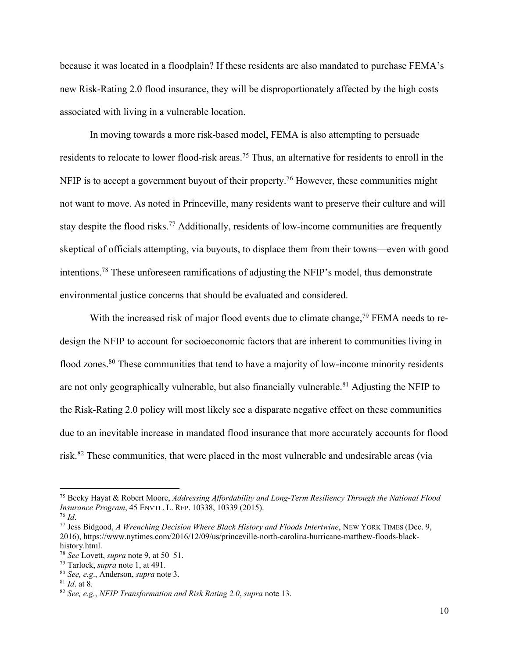because it was located in a floodplain? If these residents are also mandated to purchase FEMA's new Risk-Rating 2.0 flood insurance, they will be disproportionately affected by the high costs associated with living in a vulnerable location.

In moving towards a more risk-based model, FEMA is also attempting to persuade residents to relocate to lower flood-risk areas.<sup>75</sup> Thus, an alternative for residents to enroll in the NFIP is to accept a government buyout of their property.<sup>76</sup> However, these communities might not want to move. As noted in Princeville, many residents want to preserve their culture and will stay despite the flood risks.<sup>77</sup> Additionally, residents of low-income communities are frequently skeptical of officials attempting, via buyouts, to displace them from their towns—even with good intentions.78 These unforeseen ramifications of adjusting the NFIP's model, thus demonstrate environmental justice concerns that should be evaluated and considered.

With the increased risk of major flood events due to climate change,<sup> $79$ </sup> FEMA needs to redesign the NFIP to account for socioeconomic factors that are inherent to communities living in flood zones.<sup>80</sup> These communities that tend to have a majority of low-income minority residents are not only geographically vulnerable, but also financially vulnerable.<sup>81</sup> Adjusting the NFIP to the Risk-Rating 2.0 policy will most likely see a disparate negative effect on these communities due to an inevitable increase in mandated flood insurance that more accurately accounts for flood risk.82 These communities, that were placed in the most vulnerable and undesirable areas (via

<sup>75</sup> Becky Hayat & Robert Moore, *Addressing Affordability and Long-Term Resiliency Through the National Flood Insurance Program*, 45 ENVTL. L. REP. 10338, 10339 (2015).

<sup>76</sup> *Id*.

<sup>77</sup> Jess Bidgood, *A Wrenching Decision Where Black History and Floods Intertwine*, NEW YORK TIMES (Dec. 9, 2016), https://www.nytimes.com/2016/12/09/us/princeville-north-carolina-hurricane-matthew-floods-blackhistory.html.

<sup>78</sup> *See* Lovett, *supra* note 9, at 50–51.

<sup>79</sup> Tarlock, *supra* note 1, at 491.

<sup>80</sup> *See, e.g*., Anderson, *supra* note 3.

<sup>81</sup> *Id*. at 8.

<sup>82</sup> *See, e.g.*, *NFIP Transformation and Risk Rating 2.0*, *supra* note 13.